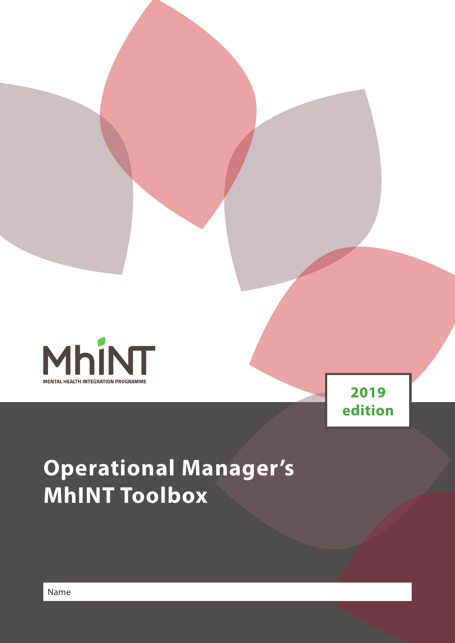

**2019 edition**

# **Operational Manager's MhINT Toolbox**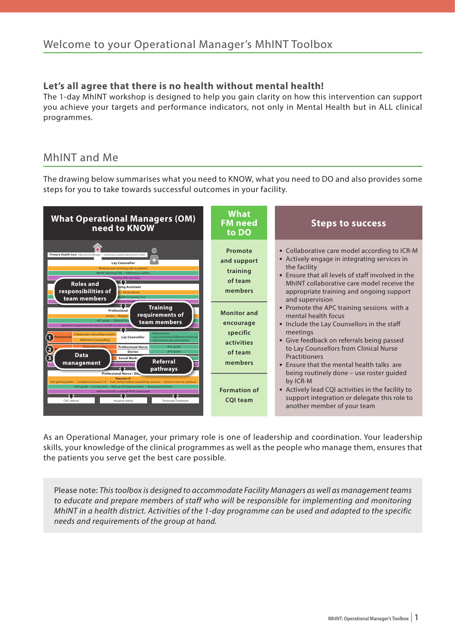## Welcome to your Operational Manager's MhINT Toolbox

#### **Let's all agree that there is no health without mental health!**

The 1-day MhINT workshop is designed to help you gain clarity on how this intervention can support you achieve your targets and performance indicators, not only in Mental Health but in ALL clinical programmes.

#### MhINT and Me

The drawing below summarises what you need to KNOW, what you need to DO and also provides some steps for you to take towards successful outcomes in your facility.



As an Operational Manager, your primary role is one of leadership and coordination. Your leadership skills, your knowledge of the clinical programmes as well as the people who manage them, ensures that the patients you serve get the best care possible.

Please note: *This toolbox is designed to accommodate Facility Managers as well as management teams to educate and prepare members of staff who will be responsible for implementing and monitoring MhINT in a health district. Activities of the 1-day programme can be used and adapted to the specific needs and requirements of the group at hand.*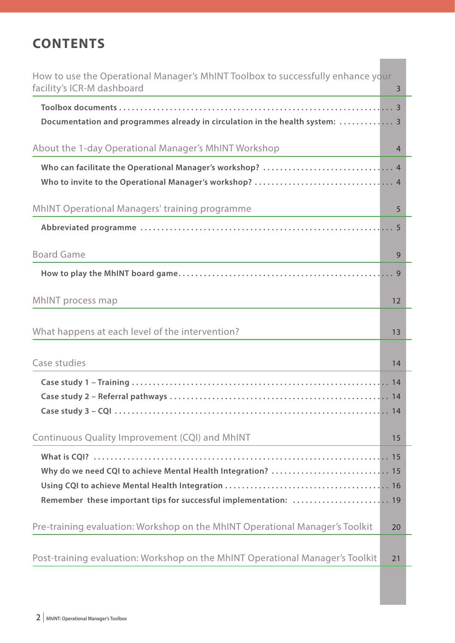## **CONTENTS**

| Documentation and programmes already in circulation in the health system:  3        |                |
|-------------------------------------------------------------------------------------|----------------|
| About the 1-day Operational Manager's MhINT Workshop                                | $\overline{4}$ |
|                                                                                     |                |
|                                                                                     |                |
| MhINT Operational Managers' training programme                                      | 5              |
|                                                                                     | 5              |
| <b>Board Game</b>                                                                   | 9              |
|                                                                                     |                |
| MhINT process map<br>12                                                             |                |
| What happens at each level of the intervention?<br>13                               |                |
| Case studies<br>14                                                                  |                |
|                                                                                     |                |
|                                                                                     |                |
|                                                                                     |                |
| Continuous Quality Improvement (CQI) and MhINT<br>15                                |                |
|                                                                                     |                |
|                                                                                     |                |
|                                                                                     |                |
|                                                                                     |                |
| Pre-training evaluation: Workshop on the MhINT Operational Manager's Toolkit<br>20  |                |
| Post-training evaluation: Workshop on the MhINT Operational Manager's Toolkit<br>21 |                |

**Contract**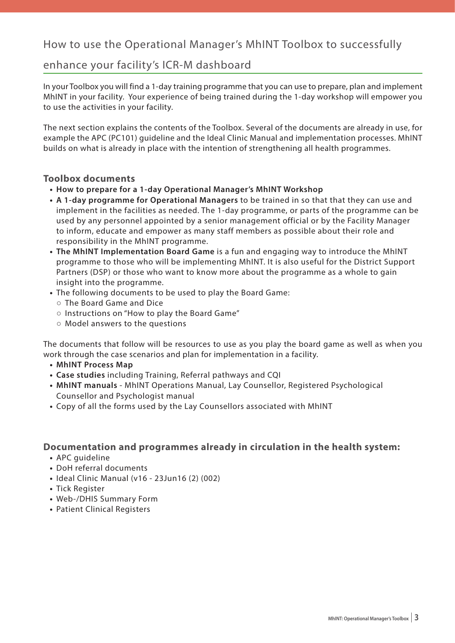## <span id="page-4-0"></span>enhance your facility's ICR-M dashboard

In your Toolbox you will find a 1-day training programme that you can use to prepare, plan and implement MhINT in your facility. Your experience of being trained during the 1-day workshop will empower you to use the activities in your facility.

The next section explains the contents of the Toolbox. Several of the documents are already in use, for example the APC (PC101) guideline and the Ideal Clinic Manual and implementation processes. MhINT builds on what is already in place with the intention of strengthening all health programmes.

#### **Toolbox documents**

- **• How to prepare for a 1-day Operational Manager's MhINT Workshop**
- **• A 1-day programme for Operational Managers** to be trained in so that that they can use and implement in the facilities as needed. The 1-day programme, or parts of the programme can be used by any personnel appointed by a senior management official or by the Facility Manager to inform, educate and empower as many staff members as possible about their role and responsibility in the MhINT programme.
- **• The MhINT Implementation Board Game** is a fun and engaging way to introduce the MhINT programme to those who will be implementing MhINT. It is also useful for the District Support Partners (DSP) or those who want to know more about the programme as a whole to gain insight into the programme.
- **•** The following documents to be used to play the Board Game:
	- **○** The Board Game and Dice
	- **○** Instructions on "How to play the Board Game"
	- **○** Model answers to the questions

The documents that follow will be resources to use as you play the board game as well as when you work through the case scenarios and plan for implementation in a facility.

- **• MhINT Process Map**
- **• Case studies** including Training, Referral pathways and CQI
- **• MhINT manuals** MhINT Operations Manual, Lay Counsellor, Registered Psychological Counsellor and Psychologist manual
- **•** Copy of all the forms used by the Lay Counsellors associated with MhINT

#### **Documentation and programmes already in circulation in the health system:**

- **•** APC guideline
- **•** DoH referral documents
- **•** Ideal Clinic Manual (v16 23Jun16 (2) (002)
- **•** Tick Register
- **•** Web-/DHIS Summary Form
- **•** Patient Clinical Registers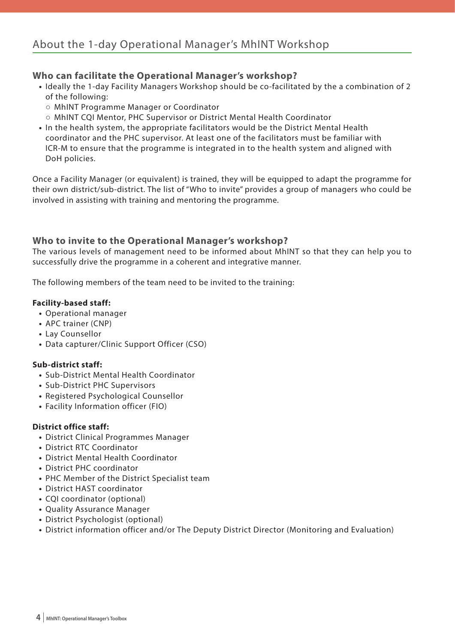## <span id="page-5-0"></span>**Who can facilitate the Operational Manager's workshop?**

- **•** Ideally the 1-day Facility Managers Workshop should be co-facilitated by the a combination of 2 of the following:
	- **○** MhINT Programme Manager or Coordinator
	- **○** MhINT CQI Mentor, PHC Supervisor or District Mental Health Coordinator
- **•** In the health system, the appropriate facilitators would be the District Mental Health coordinator and the PHC supervisor. At least one of the facilitators must be familiar with ICR-M to ensure that the programme is integrated in to the health system and aligned with DoH policies.

Once a Facility Manager (or equivalent) is trained, they will be equipped to adapt the programme for their own district/sub-district. The list of "Who to invite" provides a group of managers who could be involved in assisting with training and mentoring the programme.

#### **Who to invite to the Operational Manager's workshop?**

The various levels of management need to be informed about MhINT so that they can help you to successfully drive the programme in a coherent and integrative manner.

The following members of the team need to be invited to the training:

#### **Facility-based staff:**

- **•** Operational manager
- **•** APC trainer (CNP)
- **•** Lay Counsellor
- **•** Data capturer/Clinic Support Officer (CSO)

#### **Sub-district staff:**

- **•** Sub-District Mental Health Coordinator
- **•** Sub-District PHC Supervisors
- **•** Registered Psychological Counsellor
- **•** Facility Information officer (FIO)

#### **District office staff:**

- **•** District Clinical Programmes Manager
- **•** District RTC Coordinator
- **•** District Mental Health Coordinator
- **•** District PHC coordinator
- **•** PHC Member of the District Specialist team
- **•** District HAST coordinator
- **•** CQI coordinator (optional)
- **•** Quality Assurance Manager
- **•** District Psychologist (optional)
- **•** District information officer and/or The Deputy District Director (Monitoring and Evaluation)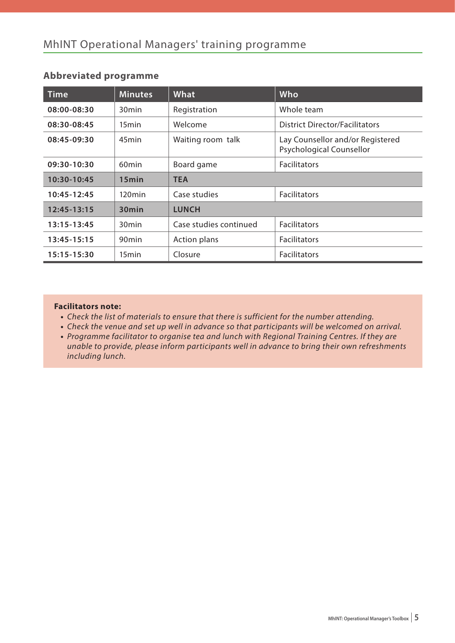| <b>Time</b>   | <b>Minutes</b>     | What                   | Who                                                                 |
|---------------|--------------------|------------------------|---------------------------------------------------------------------|
| 08:00-08:30   | 30 <sub>min</sub>  | Registration           | Whole team                                                          |
| 08:30-08:45   | 15min              | Welcome                | <b>District Director/Facilitators</b>                               |
| 08:45-09:30   | 45 <sub>min</sub>  | Waiting room talk      | Lay Counsellor and/or Registered<br><b>Psychological Counsellor</b> |
| 09:30-10:30   | 60 <sub>min</sub>  | Board game             | <b>Facilitators</b>                                                 |
| $10:30-10:45$ | 15min              | <b>TEA</b>             |                                                                     |
| $10:45-12:45$ | 120 <sub>min</sub> | Case studies           | <b>Facilitators</b>                                                 |
| $12:45-13:15$ | 30 <sub>min</sub>  | <b>LUNCH</b>           |                                                                     |
| 13:15-13:45   | 30 <sub>min</sub>  | Case studies continued | <b>Facilitators</b>                                                 |
| 13:45-15:15   | 90 <sub>min</sub>  | Action plans           | <b>Facilitators</b>                                                 |
| 15:15-15:30   | 15 <sub>min</sub>  | Closure                | <b>Facilitators</b>                                                 |

## <span id="page-6-0"></span>**Abbreviated programme**

#### **Facilitators note:**

- **•** *Check the list of materials to ensure that there is sufficient for the number attending.*
- **•** *Check the venue and set up well in advance so that participants will be welcomed on arrival.*
- **•** *Programme facilitator to organise tea and lunch with Regional Training Centres. If they are unable to provide, please inform participants well in advance to bring their own refreshments including lunch.*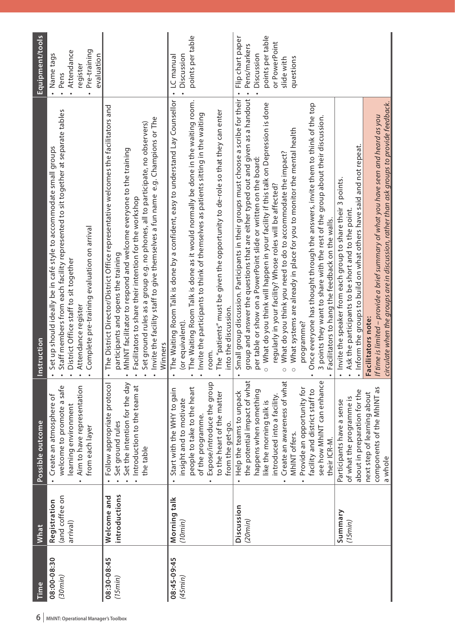| Time<br>6                                              |             | What                                                                   | Possible outcome                                                                                                                                                                                                                                                                                                                                                                                                                                                                                                                                                                                              | nstruction                                                                                                                                                                                                                                                                                                                                                                                                                                                                                                                                                                                                                                                                                                                                                                                                                                                                                                                                                                                                                                                                                                                                                                                                                                                                                                                                                                                                                                                                                               | Equipment/tools                                                                                                                                                                                                                |
|--------------------------------------------------------|-------------|------------------------------------------------------------------------|---------------------------------------------------------------------------------------------------------------------------------------------------------------------------------------------------------------------------------------------------------------------------------------------------------------------------------------------------------------------------------------------------------------------------------------------------------------------------------------------------------------------------------------------------------------------------------------------------------------|----------------------------------------------------------------------------------------------------------------------------------------------------------------------------------------------------------------------------------------------------------------------------------------------------------------------------------------------------------------------------------------------------------------------------------------------------------------------------------------------------------------------------------------------------------------------------------------------------------------------------------------------------------------------------------------------------------------------------------------------------------------------------------------------------------------------------------------------------------------------------------------------------------------------------------------------------------------------------------------------------------------------------------------------------------------------------------------------------------------------------------------------------------------------------------------------------------------------------------------------------------------------------------------------------------------------------------------------------------------------------------------------------------------------------------------------------------------------------------------------------------|--------------------------------------------------------------------------------------------------------------------------------------------------------------------------------------------------------------------------------|
| (30min)<br><b>MhINT: Operational Manager's Toolbox</b> | 08:00-08:30 | (and coffee on<br>Registration<br>arrival)                             | welcome to promote a safe<br>Aim to have representation<br>Create an atmosphere of<br>learning environment<br>from each layer                                                                                                                                                                                                                                                                                                                                                                                                                                                                                 | Staff members from each facility represented to sit together at separate tables<br>Set up should ideally be in café style to accommodate small groups<br>Complete pre-training evaluation on arrival<br>District Office staff to sit together<br>Attendance register<br>$\bullet$<br>$\bullet$<br>$\bullet$<br>$\bullet$                                                                                                                                                                                                                                                                                                                                                                                                                                                                                                                                                                                                                                                                                                                                                                                                                                                                                                                                                                                                                                                                                                                                                                                 | Pre-training<br>Attendance<br>Name tags<br>evaluation<br>register<br>Pens<br>$\bullet$<br>$\bullet$<br>$\bullet$                                                                                                               |
| (15min)                                                | 08:30-08:45 | introductions<br>Welcome and                                           | Follow appropriate protocol<br>Set the intention for the day<br>Introduction to the team at<br>Set ground rules<br>the table<br>$\ddot{\phantom{0}}$<br>$\bullet$<br>$\bullet$                                                                                                                                                                                                                                                                                                                                                                                                                                | The District Director/District Office representative welcomes the facilitators and<br>Invite the facility staff to give themselves a fun name e.g. Champions or The<br>Set ground rules as a group e.g. no phones, all to participate, no observers)<br>MhINT facilitator to respond and welcome everyone to the training<br>Facilitators to share their intention for the workshop<br>participants and opens the training<br>Winners<br>$\bullet$<br>$\bullet$<br>$\bullet$<br>$\bullet$<br>$\bullet$                                                                                                                                                                                                                                                                                                                                                                                                                                                                                                                                                                                                                                                                                                                                                                                                                                                                                                                                                                                                   |                                                                                                                                                                                                                                |
| (45min)                                                | 08:45-09:45 | Morning talk<br>Discussion<br>Summary<br>(20min)<br>(10min)<br>(15min) | the potential impact of what<br>Create an awareness of what<br>see how MhINT can enhance<br>Expose/introduce the group<br>people to take to the heart<br>Provide an opportunity for<br>Start with the WHY to gain<br>facility and district staff to<br>happens when something<br>about in preparation for the<br>Help the teams to unpack<br>to the heart of the matter<br>introduced into a facility.<br>of what the programme is<br>insight and to motivate<br>Participants have a sense<br>like the morning talk is<br>of the programme.<br>from the get-go.<br>MhINT offers.<br>their ICR-M.<br>$\bullet$ | Small group discussion. Participants in their groups must choose a scribe for their<br>group and answer the questions that are either typed out and given as a handout<br>The Waiting Room Talk is done by a confident, easy to understand Lay Counsellor<br>The Waiting Room Talk is done as it would normally be done in the waiting room.<br>o What do you think will happen in your facility if this talk on Depression is done<br>Once everyone has thought through the answers, invite them to think of the top<br>The "patients" must be given the opportunity to de-role so that they can enter<br>Invite the participants to think of themselves as patients sitting in the waiting<br>3 points they want to share with the rest of the group about their discussion.<br>What systems are already in place for you to monitor the mental health<br>Inform the groups to build on what others have said and not repeat.<br>What do you think you need to do to accommodate the impact?<br>per table or show on a PowerPoint slide or written on the board:<br>Invite the speaker from each group to share their 3 points.<br>regularly in your facility? Whose roles will be affected?<br>Ask the participants to be short and to the point.<br>Facilitators to hang the feedback on the walls.<br>into the discussion.<br>(or equivalent).<br>programme?<br>room.<br>$\circ$<br>$\circ$<br>$\bullet$<br>$\bullet$<br>$\bullet$<br>$\bullet$<br>$\bullet$<br>$\bullet$<br>$\bullet$<br>$\bullet$ | points per table<br>points per table<br>Flip chart paper<br>or PowerPoint<br>Pens/markers<br>Discussion<br>Discussion<br>LC manual<br>questions<br>slide with<br>$\bullet$<br>$\bullet$<br>$\bullet$<br>$\bullet$<br>$\bullet$ |
|                                                        |             |                                                                        | components of the MhINT as<br>next step of learning about<br>a whole                                                                                                                                                                                                                                                                                                                                                                                                                                                                                                                                          | circulate when the groups are in discussion, rather than ask groups to provide feedback.<br>If time is limited - provide a brief summary of what you have seen and heard as you<br>Facilitators note:<br>$\bullet$                                                                                                                                                                                                                                                                                                                                                                                                                                                                                                                                                                                                                                                                                                                                                                                                                                                                                                                                                                                                                                                                                                                                                                                                                                                                                       |                                                                                                                                                                                                                                |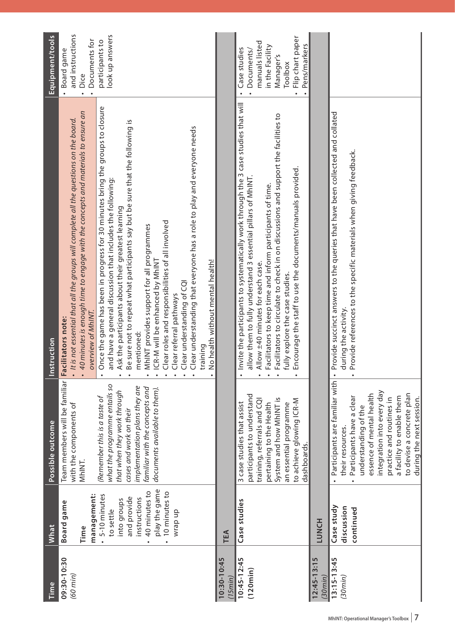| Time                         | <b>What</b>                                                                                                                              | Possible outcome                                                                                                                                                                                                                                                                    | Instruction                                                                                                                                                                                                                                                                                                                                                                                                                                                                                                                                                                                                              | Equipment/tools                                                                                                                                       |
|------------------------------|------------------------------------------------------------------------------------------------------------------------------------------|-------------------------------------------------------------------------------------------------------------------------------------------------------------------------------------------------------------------------------------------------------------------------------------|--------------------------------------------------------------------------------------------------------------------------------------------------------------------------------------------------------------------------------------------------------------------------------------------------------------------------------------------------------------------------------------------------------------------------------------------------------------------------------------------------------------------------------------------------------------------------------------------------------------------------|-------------------------------------------------------------------------------------------------------------------------------------------------------|
| 09:30-10:30<br>$(60 \, min)$ | management:<br>Board game<br>Time                                                                                                        | Team members will be familiar<br>with the components of<br>MhINT.                                                                                                                                                                                                                   | 40 minutes is enough time to engage with the concepts and materials to ensure an<br>It is not essential that all the groups will complete all the questions on the board.<br>overview of MhINT.<br>Facilitators note:                                                                                                                                                                                                                                                                                                                                                                                                    | and instructions<br>Documents for<br>Board game<br>Dice<br>$\bullet$<br>$\bullet$                                                                     |
|                              | play the game<br>40 minutes to<br>10 minutes to<br>$-5-10$ minutes<br>and provide<br>instructions<br>into groups<br>to settle<br>wrap up | what the programme entails so<br>implementation plans they are<br>familiar with the concepts and<br>documents available to them).<br>that when they work through<br>(Remember this is a taste of<br>cases and work on their                                                         | Once the game has been in progress for 30 minutes bring the groups to closure<br>Be sure not to repeat what participants say but be sure that the following is<br>Clear understanding that everyone has a role to play and everyone needs<br>and have a general discussion that includes the following:<br>Ask the participants about their greatest learning<br>Clear roles and responsibilities of all involved<br>MhINT provides support for all programmes<br>ICR-M will be enhanced by MhINT<br>No health without mental health!<br>Clear understanding of CQI<br>Clear referral pathways<br>mentioned:<br>training | look up answers<br>participants to                                                                                                                    |
| 10:30-10:45<br>(15min)       | TEA                                                                                                                                      |                                                                                                                                                                                                                                                                                     |                                                                                                                                                                                                                                                                                                                                                                                                                                                                                                                                                                                                                          |                                                                                                                                                       |
| 10:45-12:45<br>(120min)      | Case studies                                                                                                                             | participants to understand<br>System and how MhINT is<br>to achieve glowing ICR-M<br>training, referrals and CQI<br>3 case studies that assist<br>an essential programme<br>pertaining to the Health<br>dashboards.                                                                 | Invite the participants to systematically work through the 3 case studies that will<br>Facilitators to circulate to check in on discussions and support the facilities to<br>Encourage the staff to use the documents/manuals provided.<br>allow them to fully understand 3 essential pillars of MhINT.<br>Facilitators to keep time and inform participants of time.<br>Allow ±40 minutes for each case.<br>fully explore the case studies.                                                                                                                                                                             | Flip chart paper<br>manuals listed<br>Pens/markers<br>in the Facility<br>Case studies<br>Documents/<br>Manager's<br>Toolbox<br>$\bullet$<br>$\bullet$ |
| 12:45-13:15<br>(30min)       | <b>HJNCH</b>                                                                                                                             |                                                                                                                                                                                                                                                                                     |                                                                                                                                                                                                                                                                                                                                                                                                                                                                                                                                                                                                                          |                                                                                                                                                       |
| 13:15-13:45<br>(30min)       | Case study<br>discussion<br>continued                                                                                                    | Participants are familiar with<br>integration into every day<br>essence of mental health<br>to devise a concrete plan<br>a facility to enable them<br>Participants have a clear<br>practice and routines in<br>during the next session.<br>understanding of the<br>their resources. | Provide succinct answers to the queries that have been collected and collated<br>Provide references to the specific materials when giving feedback.<br>during the activity.<br>$\bullet$                                                                                                                                                                                                                                                                                                                                                                                                                                 |                                                                                                                                                       |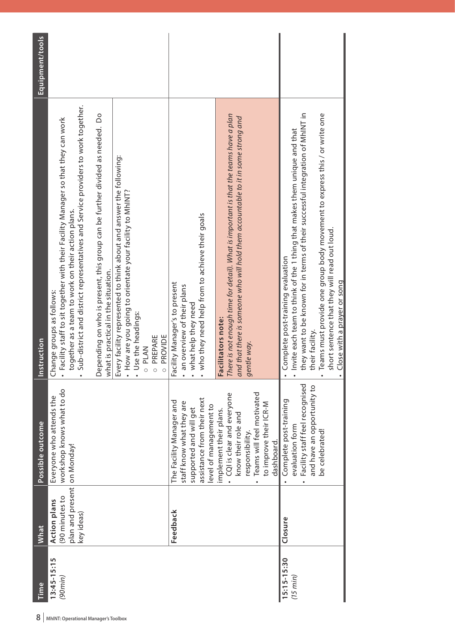| 8                                           | Time                    | What                                                                                 | Possible outcome                                       | Instruction                                                                                                                                                                                                                                             | Equipment/tools |
|---------------------------------------------|-------------------------|--------------------------------------------------------------------------------------|--------------------------------------------------------|---------------------------------------------------------------------------------------------------------------------------------------------------------------------------------------------------------------------------------------------------------|-----------------|
| <b>MhINT: Operational Manager's Toolbox</b> | 13:45-15:15<br>(uluu06, | plan and present   on Monday!<br>(90 minutes to<br><b>Action plans</b><br>key ideas) | workshop knows what to do<br>Everyone who attends the  | Sub-district and district representatives and Service providers to work together.<br>Facility staff to sit together with their Facility Manager so that they can work<br>together as a team to work on their action plans.<br>Change groups as follows: |                 |
|                                             |                         |                                                                                      |                                                        | epending on who is present, this group can be further divided as needed. Do<br>what is practical in the situation.<br>$\supset$                                                                                                                         |                 |
|                                             |                         |                                                                                      |                                                        | Every facility represented to think about and answer the following:<br>How are you going to orientate your facility to MhINT?<br>$\bullet$                                                                                                              |                 |
|                                             |                         |                                                                                      |                                                        | Use the headings:<br>o PLAN                                                                                                                                                                                                                             |                 |
|                                             |                         |                                                                                      |                                                        | PREPARE<br>PROVIDE<br>$\circ$<br>$\circ$                                                                                                                                                                                                                |                 |
|                                             |                         | Feedback                                                                             | The Facility Manager and                               | acility Manager's to present<br>ட்                                                                                                                                                                                                                      |                 |
|                                             |                         |                                                                                      | staff know what they are                               | an overview of their plans                                                                                                                                                                                                                              |                 |
|                                             |                         |                                                                                      | supported and will get                                 | what help they need                                                                                                                                                                                                                                     |                 |
|                                             |                         |                                                                                      | assistance from their next<br>level of management to   | who they need help from to achieve their goals                                                                                                                                                                                                          |                 |
|                                             |                         |                                                                                      | implement their plans.                                 | Facilitators note:                                                                                                                                                                                                                                      |                 |
|                                             |                         |                                                                                      | CQI is clear and everyone                              | There is not enough time for detail). What is important is that the teams have a plan                                                                                                                                                                   |                 |
|                                             |                         |                                                                                      | know their role and                                    | and that there is someone who will hold them accountable to it in some strong and                                                                                                                                                                       |                 |
|                                             |                         |                                                                                      | Teams will feel motivated<br>responsibility.           | entle way.<br>p                                                                                                                                                                                                                                         |                 |
|                                             |                         |                                                                                      | to improve their ICR-M<br>dashboard.                   |                                                                                                                                                                                                                                                         |                 |
|                                             | 15:15-15:30<br>(15 min) | Closure                                                                              | Complete post-training<br>evaluation form<br>$\bullet$ | Invite each team to think of the 1 thing that makes them unique and that<br>Complete post-training evaluation                                                                                                                                           |                 |
|                                             |                         |                                                                                      | Facility staff feel recognised<br>$\bullet$            | they want to be known for in terms of their successful integration of MhINT in                                                                                                                                                                          |                 |
|                                             |                         |                                                                                      | and have an opportunity to                             | their facility.                                                                                                                                                                                                                                         |                 |
|                                             |                         |                                                                                      | be celebrated!                                         | Teams must provide one group body movement to express this / or write one                                                                                                                                                                               |                 |
|                                             |                         |                                                                                      |                                                        | short sentence that they will read out loud.                                                                                                                                                                                                            |                 |
|                                             |                         |                                                                                      |                                                        | Close with a prayer or song                                                                                                                                                                                                                             |                 |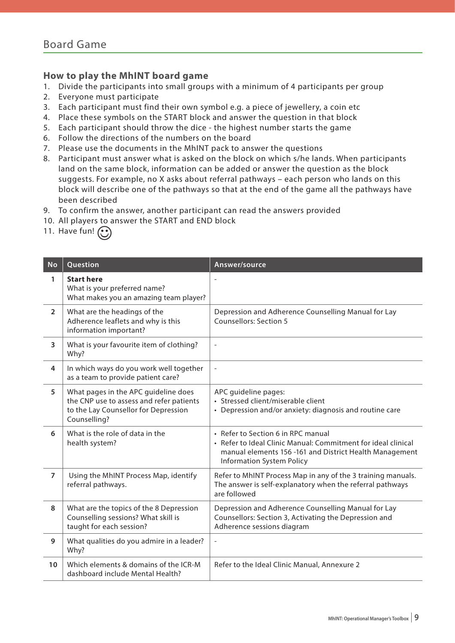#### <span id="page-10-0"></span>**How to play the MhINT board game**

- 1. Divide the participants into small groups with a minimum of 4 participants per group
- 2. Everyone must participate
- 3. Each participant must find their own symbol e.g. a piece of jewellery, a coin etc
- 4. Place these symbols on the START block and answer the question in that block
- 5. Each participant should throw the dice the highest number starts the game
- 6. Follow the directions of the numbers on the board
- 7. Please use the documents in the MhINT pack to answer the questions
- 8. Participant must answer what is asked on the block on which s/he lands. When participants land on the same block, information can be added or answer the question as the block suggests. For example, no X asks about referral pathways – each person who lands on this block will describe one of the pathways so that at the end of the game all the pathways have been described
- 9. To confirm the answer, another participant can read the answers provided
- 10. All players to answer the START and END block
- 11. Have fun!  $\odot$

| <b>No</b>      | Question                                                                                                                                 | Answer/source                                                                                                                                                                                      |
|----------------|------------------------------------------------------------------------------------------------------------------------------------------|----------------------------------------------------------------------------------------------------------------------------------------------------------------------------------------------------|
| 1              | <b>Start here</b><br>What is your preferred name?<br>What makes you an amazing team player?                                              |                                                                                                                                                                                                    |
| $\overline{2}$ | What are the headings of the<br>Adherence leaflets and why is this<br>information important?                                             | Depression and Adherence Counselling Manual for Lay<br><b>Counsellors: Section 5</b>                                                                                                               |
| 3              | What is your favourite item of clothing?<br>Why?                                                                                         | $\bar{a}$                                                                                                                                                                                          |
| 4              | In which ways do you work well together<br>as a team to provide patient care?                                                            |                                                                                                                                                                                                    |
| 5              | What pages in the APC guideline does<br>the CNP use to assess and refer patients<br>to the Lay Counsellor for Depression<br>Counselling? | APC guideline pages:<br>• Stressed client/miserable client<br>• Depression and/or anxiety: diagnosis and routine care                                                                              |
| 6              | What is the role of data in the<br>health system?                                                                                        | • Refer to Section 6 in RPC manual<br>• Refer to Ideal Clinic Manual: Commitment for ideal clinical<br>manual elements 156 -161 and District Health Management<br><b>Information System Policy</b> |
| $\overline{7}$ | Using the MhINT Process Map, identify<br>referral pathways.                                                                              | Refer to MhINT Process Map in any of the 3 training manuals.<br>The answer is self-explanatory when the referral pathways<br>are followed                                                          |
| 8              | What are the topics of the 8 Depression<br>Counselling sessions? What skill is<br>taught for each session?                               | Depression and Adherence Counselling Manual for Lay<br>Counsellors: Section 3, Activating the Depression and<br>Adherence sessions diagram                                                         |
| 9              | What qualities do you admire in a leader?<br>Why?                                                                                        |                                                                                                                                                                                                    |
| 10             | Which elements & domains of the ICR-M<br>dashboard include Mental Health?                                                                | Refer to the Ideal Clinic Manual, Annexure 2                                                                                                                                                       |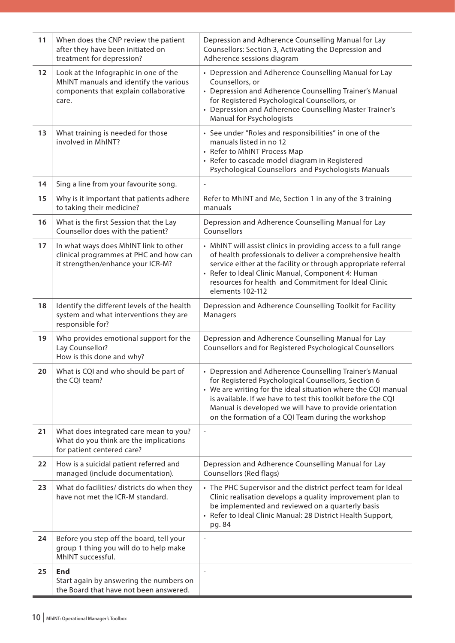| 11 | When does the CNP review the patient<br>after they have been initiated on<br>treatment for depression?                            | Depression and Adherence Counselling Manual for Lay<br>Counsellors: Section 3, Activating the Depression and<br>Adherence sessions diagram                                                                                                                                                                                                                       |
|----|-----------------------------------------------------------------------------------------------------------------------------------|------------------------------------------------------------------------------------------------------------------------------------------------------------------------------------------------------------------------------------------------------------------------------------------------------------------------------------------------------------------|
| 12 | Look at the Infographic in one of the<br>MhINT manuals and identify the various<br>components that explain collaborative<br>care. | • Depression and Adherence Counselling Manual for Lay<br>Counsellors, or<br>• Depression and Adherence Counselling Trainer's Manual<br>for Registered Psychological Counsellors, or<br>• Depression and Adherence Counselling Master Trainer's<br>Manual for Psychologists                                                                                       |
| 13 | What training is needed for those<br>involved in MhINT?                                                                           | • See under "Roles and responsibilities" in one of the<br>manuals listed in no 12<br>• Refer to MhINT Process Map<br>• Refer to cascade model diagram in Registered<br>Psychological Counsellors and Psychologists Manuals                                                                                                                                       |
| 14 | Sing a line from your favourite song.                                                                                             | $\bar{a}$                                                                                                                                                                                                                                                                                                                                                        |
| 15 | Why is it important that patients adhere<br>to taking their medicine?                                                             | Refer to MhINT and Me, Section 1 in any of the 3 training<br>manuals                                                                                                                                                                                                                                                                                             |
| 16 | What is the first Session that the Lay<br>Counsellor does with the patient?                                                       | Depression and Adherence Counselling Manual for Lay<br>Counsellors                                                                                                                                                                                                                                                                                               |
| 17 | In what ways does MhINT link to other<br>clinical programmes at PHC and how can<br>it strengthen/enhance your ICR-M?              | • MhINT will assist clinics in providing access to a full range<br>of health professionals to deliver a comprehensive health<br>service either at the facility or through appropriate referral<br>• Refer to Ideal Clinic Manual, Component 4: Human<br>resources for health and Commitment for Ideal Clinic<br>elements 102-112                                 |
| 18 | Identify the different levels of the health<br>system and what interventions they are<br>responsible for?                         | Depression and Adherence Counselling Toolkit for Facility<br>Managers                                                                                                                                                                                                                                                                                            |
| 19 | Who provides emotional support for the<br>Lay Counsellor?<br>How is this done and why?                                            | Depression and Adherence Counselling Manual for Lay<br>Counsellors and for Registered Psychological Counsellors                                                                                                                                                                                                                                                  |
| 20 | What is CQI and who should be part of<br>the CQI team?                                                                            | • Depression and Adherence Counselling Trainer's Manual<br>for Registered Psychological Counsellors, Section 6<br>• We are writing for the ideal situation where the CQI manual<br>is available. If we have to test this toolkit before the CQI<br>Manual is developed we will have to provide orientation<br>on the formation of a CQI Team during the workshop |
| 21 | What does integrated care mean to you?<br>What do you think are the implications<br>for patient centered care?                    |                                                                                                                                                                                                                                                                                                                                                                  |
| 22 | How is a suicidal patient referred and<br>managed (include documentation).                                                        | Depression and Adherence Counselling Manual for Lay<br>Counsellors (Red flags)                                                                                                                                                                                                                                                                                   |
| 23 | What do facilities/ districts do when they<br>have not met the ICR-M standard.                                                    | • The PHC Supervisor and the district perfect team for Ideal<br>Clinic realisation develops a quality improvement plan to<br>be implemented and reviewed on a quarterly basis<br>• Refer to Ideal Clinic Manual: 28 District Health Support,<br>pg. 84                                                                                                           |
| 24 | Before you step off the board, tell your<br>group 1 thing you will do to help make<br>MhINT successful.                           | $\qquad \qquad -$                                                                                                                                                                                                                                                                                                                                                |
| 25 | End<br>Start again by answering the numbers on<br>the Board that have not been answered.                                          |                                                                                                                                                                                                                                                                                                                                                                  |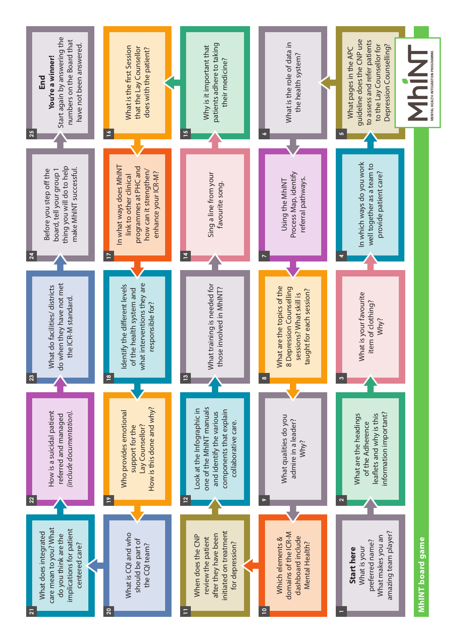<span id="page-12-30"></span><span id="page-12-29"></span><span id="page-12-28"></span><span id="page-12-27"></span><span id="page-12-26"></span><span id="page-12-25"></span><span id="page-12-24"></span><span id="page-12-23"></span><span id="page-12-22"></span><span id="page-12-21"></span><span id="page-12-20"></span><span id="page-12-19"></span><span id="page-12-18"></span><span id="page-12-17"></span><span id="page-12-16"></span><span id="page-12-15"></span><span id="page-12-14"></span><span id="page-12-13"></span><span id="page-12-12"></span><span id="page-12-11"></span><span id="page-12-10"></span><span id="page-12-9"></span><span id="page-12-8"></span><span id="page-12-7"></span><span id="page-12-6"></span><span id="page-12-5"></span><span id="page-12-4"></span><span id="page-12-3"></span><span id="page-12-2"></span><span id="page-12-1"></span><span id="page-12-0"></span>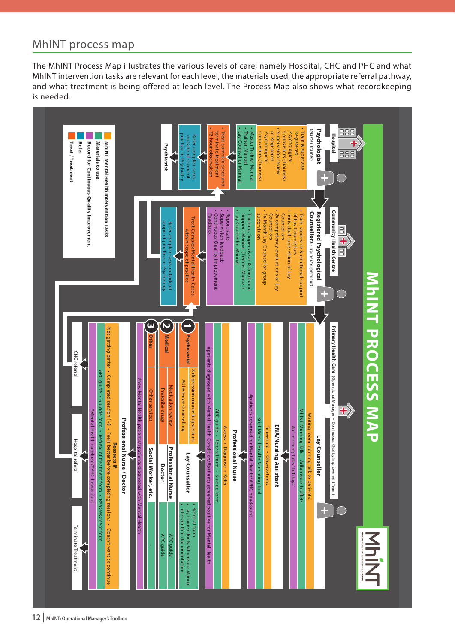## <span id="page-13-0"></span>MhINT process map

The MhINT Process Map illustrates the various levels of care, namely Hospital, CHC and PHC and what MhINT intervention tasks are relevant for each level, the materials used, the appropriate referral pathway, and what treatment is being offered at leach level. The Process Map also shows what recordkeeping is needed.

![](_page_13_Figure_2.jpeg)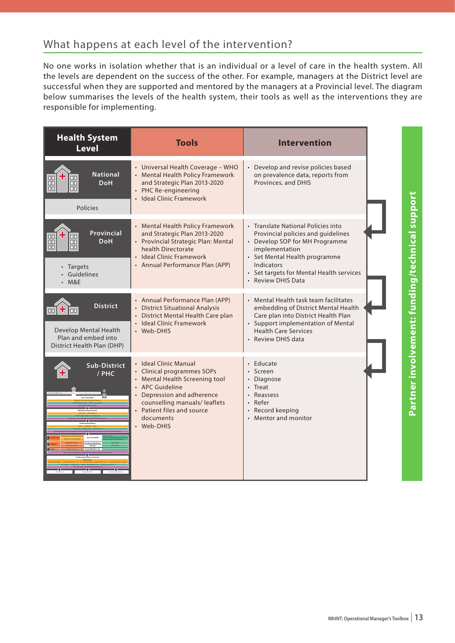## <span id="page-14-0"></span>What happens at each level of the intervention?

No one works in isolation whether that is an individual or a level of care in the health system. All the levels are dependent on the success of the other. For example, managers at the District level are successful when they are supported and mentored by the managers at a Provincial level. The diagram below summarises the levels of the health system, their tools as well as the interventions they are responsible for implementing.

| <b>Health System</b><br><b>Level</b>                                                                                                                                     | <b>Tools</b>                                                                                                                                                                                                                   | <b>Intervention</b>                                                                                                                                                                                                                           |                                               |
|--------------------------------------------------------------------------------------------------------------------------------------------------------------------------|--------------------------------------------------------------------------------------------------------------------------------------------------------------------------------------------------------------------------------|-----------------------------------------------------------------------------------------------------------------------------------------------------------------------------------------------------------------------------------------------|-----------------------------------------------|
| <b>National</b><br>$\ddot{\phantom{1}}$<br>$\Box$<br>田田田<br><b>DoH</b><br>$\Box$<br>$\Box\,\Box$<br>Policies                                                             | • Universal Health Coverage - WHO<br>• Mental Health Policy Framework<br>and Strategic Plan 2013-2020<br>• PHC Re-engineering<br>• Ideal Clinic Framework                                                                      | • Develop and revise policies based<br>on prevalence data, reports from<br>Provinces, and DHIS                                                                                                                                                |                                               |
| Provincial<br>$\Box$<br>88<br>88<br>88<br><b>DoH</b><br>$\Box\Box$<br>00<br>• Targets<br>· Guidelines<br>$-M&E$                                                          | • Mental Health Policy Framework<br>and Strategic Plan 2013-2020<br>• Provincial Strategic Plan: Mental<br>health Directorate<br>• Ideal Clinic Framework<br>• Annual Performance Plan (APP)                                   | • Translate National Policies into<br>Provincial policies and guidelines<br>• Develop SOP for MH Programme<br>implementation<br>• Set Mental Health programme<br>Indicators<br>• Set targets for Mental Health services<br>• Review DHIS Data | Partner involvement: funding/technical suppor |
| <b>District</b><br>$\overline{\mathbb{H}}$ $\overline{\mathbb{H}}$ $\overline{\mathbb{H}}$<br>Develop Mental Health<br>Plan and embed into<br>District Health Plan (DHP) | • Annual Performance Plan (APP)<br>• District Situational Analysis<br>• District Mental Health Care plan<br>• Ideal Clinic Framework<br>• Web-DHIS                                                                             | • Mental Health task team facilitates<br>embedding of District Mental Health<br>Care plan into District Health Plan<br>• Support implementation of Mental<br><b>Health Care Services</b><br>• Review DHIS data                                |                                               |
| Sub-District<br>/ PHC<br>$\overline{2}$ Mades<br>Œ                                                                                                                       | • Ideal Clinic Manual<br>• Clinical programmes SOPs<br>• Mental Health Screening tool<br>• APC Guideline<br>• Depression and adherence<br>counselling manuals/ leaflets<br>Patient files and source<br>documents<br>• Web-DHIS | · Educate<br>• Screen<br>• Diagnose<br>• Treat<br>• Reassess<br>$\cdot$ Refer<br>• Record keeping<br>• Mentor and monitor                                                                                                                     |                                               |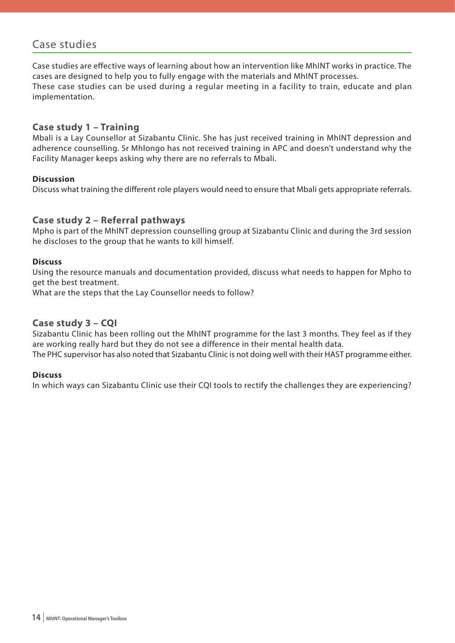## <span id="page-15-0"></span>Case studies

Case studies are effective ways of learning about how an intervention like MhINT works in practice. The cases are designed to help you to fully engage with the materials and MhINT processes. These case studies can be used during a regular meeting in a facility to train, educate and plan implementation.

#### **Case study 1 – Training**

Mbali is a Lay Counsellor at Sizabantu Clinic. She has just received training in MhINT depression and adherence counselling. Sr Mhlongo has not received training in APC and doesn't understand why the Facility Manager keeps asking why there are no referrals to Mbali.

#### **Discussion**

Discuss what training the different role players would need to ensure that Mbali gets appropriate referrals.

#### **Case study 2 – Referral pathways**

Mpho is part of the MhINT depression counselling group at Sizabantu Clinic and during the 3rd session he discloses to the group that he wants to kill himself.

#### **Discuss**

Using the resource manuals and documentation provided, discuss what needs to happen for Mpho to get the best treatment.

What are the steps that the Lay Counsellor needs to follow?

#### **Case study 3 – CQI**

Sizabantu Clinic has been rolling out the MhINT programme for the last 3 months. They feel as if they are working really hard but they do not see a difference in their mental health data.

The PHC supervisor has also noted that Sizabantu Clinic is not doing well with their HAST programme either.

#### **Discuss**

In which ways can Sizabantu Clinic use their CQI tools to rectify the challenges they are experiencing?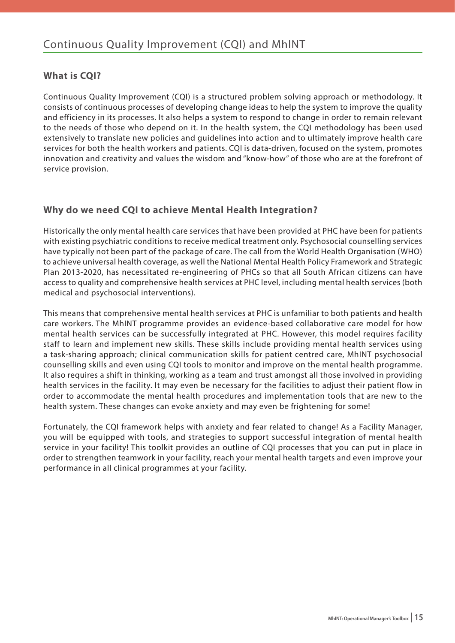## <span id="page-16-0"></span>**What is CQI?**

Continuous Quality Improvement (CQI) is a structured problem solving approach or methodology. It consists of continuous processes of developing change ideas to help the system to improve the quality and efficiency in its processes. It also helps a system to respond to change in order to remain relevant to the needs of those who depend on it. In the health system, the CQI methodology has been used extensively to translate new policies and guidelines into action and to ultimately improve health care services for both the health workers and patients. CQI is data-driven, focused on the system, promotes innovation and creativity and values the wisdom and "know-how" of those who are at the forefront of service provision.

## **Why do we need CQI to achieve Mental Health Integration?**

Historically the only mental health care services that have been provided at PHC have been for patients with existing psychiatric conditions to receive medical treatment only. Psychosocial counselling services have typically not been part of the package of care. The call from the World Health Organisation (WHO) to achieve universal health coverage, as well the National Mental Health Policy Framework and Strategic Plan 2013-2020, has necessitated re-engineering of PHCs so that all South African citizens can have access to quality and comprehensive health services at PHC level, including mental health services (both medical and psychosocial interventions).

This means that comprehensive mental health services at PHC is unfamiliar to both patients and health care workers. The MhINT programme provides an evidence-based collaborative care model for how mental health services can be successfully integrated at PHC. However, this model requires facility staff to learn and implement new skills. These skills include providing mental health services using a task-sharing approach; clinical communication skills for patient centred care, MhINT psychosocial counselling skills and even using CQI tools to monitor and improve on the mental health programme. It also requires a shift in thinking, working as a team and trust amongst all those involved in providing health services in the facility. It may even be necessary for the facilities to adjust their patient flow in order to accommodate the mental health procedures and implementation tools that are new to the health system. These changes can evoke anxiety and may even be frightening for some!

Fortunately, the CQI framework helps with anxiety and fear related to change! As a Facility Manager, you will be equipped with tools, and strategies to support successful integration of mental health service in your facility! This toolkit provides an outline of CQI processes that you can put in place in order to strengthen teamwork in your facility, reach your mental health targets and even improve your performance in all clinical programmes at your facility.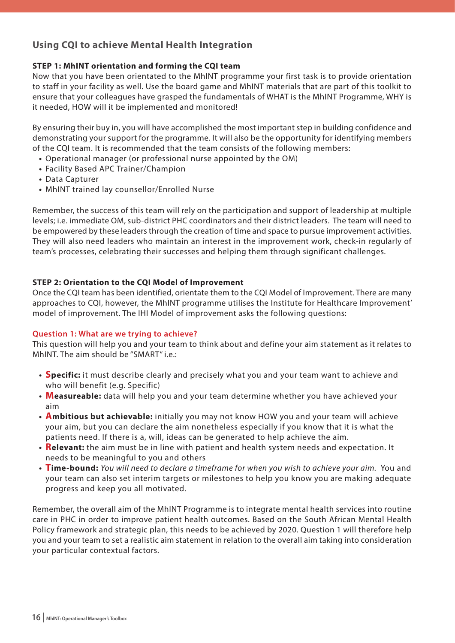## <span id="page-17-0"></span>**Using CQI to achieve Mental Health Integration**

#### **STEP 1: MhINT orientation and forming the CQI team**

Now that you have been orientated to the MhINT programme your first task is to provide orientation to staff in your facility as well. Use the board game and MhINT materials that are part of this toolkit to ensure that your colleagues have grasped the fundamentals of WHAT is the MhINT Programme, WHY is it needed, HOW will it be implemented and monitored!

By ensuring their buy in, you will have accomplished the most important step in building confidence and demonstrating your support for the programme. It will also be the opportunity for identifying members of the CQI team. It is recommended that the team consists of the following members:

- **•** Operational manager (or professional nurse appointed by the OM)
- **•** Facility Based APC Trainer/Champion
- **•** Data Capturer
- **•** MhINT trained lay counsellor/Enrolled Nurse

Remember, the success of this team will rely on the participation and support of leadership at multiple levels; i.e. immediate OM, sub-district PHC coordinators and their district leaders. The team will need to be empowered by these leaders through the creation of time and space to pursue improvement activities. They will also need leaders who maintain an interest in the improvement work, check-in regularly of team's processes, celebrating their successes and helping them through significant challenges.

#### **STEP 2: Orientation to the CQI Model of Improvement**

Once the CQI team has been identified, orientate them to the CQI Model of Improvement. There are many approaches to CQI, however, the MhINT programme utilises the Institute for Healthcare Improvement' model of improvement. The IHI Model of improvement asks the following questions:

#### **Question 1: What are we trying to achieve?**

This question will help you and your team to think about and define your aim statement as it relates to MhINT. The aim should be "SMART"  $i \cdot$ 

- **• Specific:** it must describe clearly and precisely what you and your team want to achieve and who will benefit (e.g. Specific)
- **• Measureable:** data will help you and your team determine whether you have achieved your aim
- **• Ambitious but achievable:** initially you may not know HOW you and your team will achieve your aim, but you can declare the aim nonetheless especially if you know that it is what the patients need. If there is a, will, ideas can be generated to help achieve the aim.
- **• Relevant:** the aim must be in line with patient and health system needs and expectation. It needs to be meaningful to you and others
- **• Time-bound:** *You will need to declare a timeframe for when you wish to achieve your aim.* You and your team can also set interim targets or milestones to help you know you are making adequate progress and keep you all motivated.

Remember, the overall aim of the MhINT Programme is to integrate mental health services into routine care in PHC in order to improve patient health outcomes. Based on the South African Mental Health Policy framework and strategic plan, this needs to be achieved by 2020. Question 1 will therefore help you and your team to set a realistic aim statement in relation to the overall aim taking into consideration your particular contextual factors.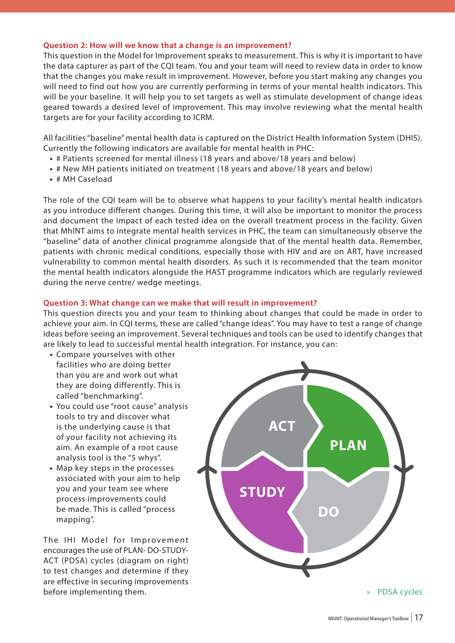#### **Question 2: How will we know that a change is an improvement?**

This question in the Model for Improvement speaks to measurement. This is why it is important to have the data capturer as part of the CQI team. You and your team will need to review data in order to know that the changes you make result in improvement. However, before you start making any changes you will need to find out how you are currently performing in terms of your mental health indicators. This will be your baseline. It will help you to set targets as well as stimulate development of change ideas geared towards a desired level of improvement. This may involve reviewing what the mental health targets are for your facility according to ICRM.

All facilities "baseline" mental health data is captured on the District Health Information System (DHIS). Currently the following indicators are available for mental health in PHC:

- **•** # Patients screened for mental illness (18 years and above/18 years and below)
- **•** # New MH patients initiated on treatment (18 years and above/18 years and below)
- **•** # MH Caseload

The role of the CQI team will be to observe what happens to your facility's mental health indicators as you introduce different changes. During this time, it will also be important to monitor the process and document the impact of each tested idea on the overall treatment process in the facility. Given that MhINT aims to integrate mental health services in PHC, the team can simultaneously observe the "baseline" data of another clinical programme alongside that of the mental health data. Remember, patients with chronic medical conditions, especially those with HIV and are on ART, have increased vulnerability to common mental health disorders. As such it is recommended that the team monitor the mental health indicators alongside the HAST programme indicators which are regularly reviewed during the nerve centre/ wedge meetings.

#### **Question 3: What change can we make that will result in improvement?**

This question directs you and your team to thinking about changes that could be made in order to achieve your aim. In CQI terms, these are called "change ideas". You may have to test a range of change ideas before seeing an improvement. Several techniques and tools can be used to identify changes that are likely to lead to successful mental health integration. For instance, you can:

- **•** Compare yourselves with other facilities who are doing better than you are and work out what they are doing differently. This is called "benchmarking".
- **•** You could use "root cause" analysis tools to try and discover what is the underlying cause is that of your facility not achieving its aim. An example of a root cause analysis tool is the "5 whys".
- **•** Map key steps in the processes associated with your aim to help you and your team see where process improvements could be made. This is called "process mapping".

The IHI Model for Improvement encourages the use of PLAN- DO-STUDY-ACT (PDSA) cycles (diagram on right) to test changes and determine if they are effective in securing improvements before implementing them.

![](_page_18_Figure_13.jpeg)

» PDSA cycles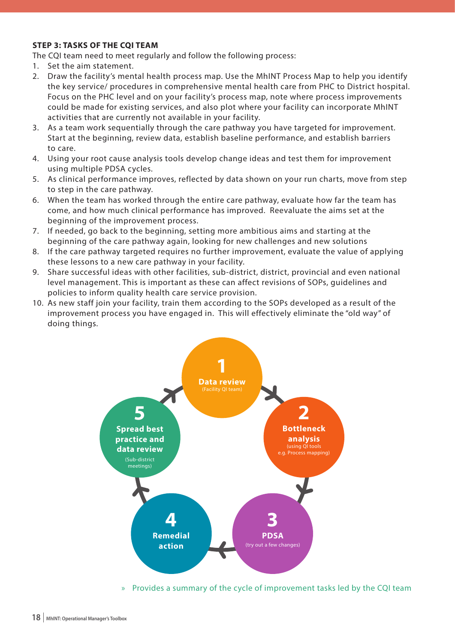#### **STEP 3: TASKS OF THE CQI TEAM**

The CQI team need to meet regularly and follow the following process:

- 1. Set the aim statement.
- 2. Draw the facility's mental health process map. Use the MhINT Process Map to help you identify the key service/ procedures in comprehensive mental health care from PHC to District hospital. Focus on the PHC level and on your facility's process map, note where process improvements could be made for existing services, and also plot where your facility can incorporate MhINT activities that are currently not available in your facility.
- 3. As a team work sequentially through the care pathway you have targeted for improvement. Start at the beginning, review data, establish baseline performance, and establish barriers to care.
- 4. Using your root cause analysis tools develop change ideas and test them for improvement using multiple PDSA cycles.
- 5. As clinical performance improves, reflected by data shown on your run charts, move from step to step in the care pathway.
- 6. When the team has worked through the entire care pathway, evaluate how far the team has come, and how much clinical performance has improved. Reevaluate the aims set at the beginning of the improvement process.
- 7. If needed, go back to the beginning, setting more ambitious aims and starting at the beginning of the care pathway again, looking for new challenges and new solutions
- 8. If the care pathway targeted requires no further improvement, evaluate the value of applying these lessons to a new care pathway in your facility.
- 9. Share successful ideas with other facilities, sub-district, district, provincial and even national level management. This is important as these can affect revisions of SOPs, guidelines and policies to inform quality health care service provision.
- 10. As new staff join your facility, train them according to the SOPs developed as a result of the improvement process you have engaged in. This will effectively eliminate the "old way" of doing things.

![](_page_19_Figure_12.jpeg)

» Provides a summary of the cycle of improvement tasks led by the CQI team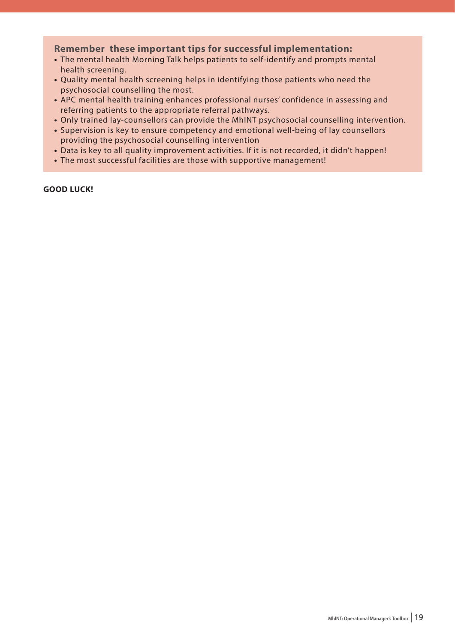#### <span id="page-20-0"></span>**Remember these important tips for successful implementation:**

- **•** The mental health Morning Talk helps patients to self-identify and prompts mental health screening.
- **•** Quality mental health screening helps in identifying those patients who need the psychosocial counselling the most.
- **•** APC mental health training enhances professional nurses' confidence in assessing and referring patients to the appropriate referral pathways.
- **•** Only trained lay-counsellors can provide the MhINT psychosocial counselling intervention.
- **•** Supervision is key to ensure competency and emotional well-being of lay counsellors providing the psychosocial counselling intervention
- **•** Data is key to all quality improvement activities. If it is not recorded, it didn't happen!
- **•** The most successful facilities are those with supportive management!

#### **GOOD LUCK!**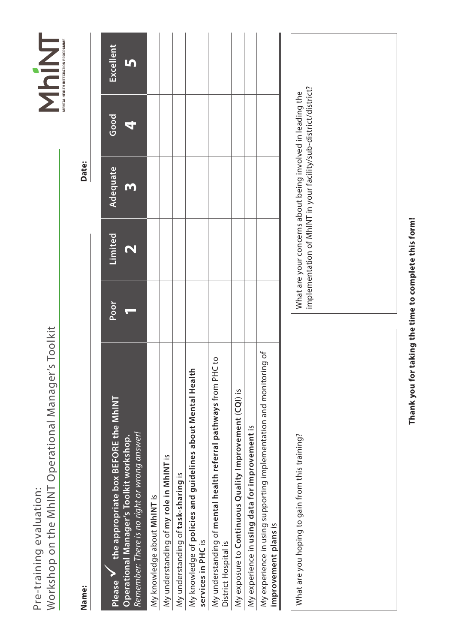<span id="page-21-0"></span>

| Workshop on the MhNT Operational Manager's Toolkit<br>Pre-training evaluation:                                                            |      |         |               |                                                                                                                               | MENTAL HEALTH INTEGRATION PROGRAMME<br>MhiNT |
|-------------------------------------------------------------------------------------------------------------------------------------------|------|---------|---------------|-------------------------------------------------------------------------------------------------------------------------------|----------------------------------------------|
| Name:                                                                                                                                     |      |         | Date:         |                                                                                                                               |                                              |
|                                                                                                                                           |      |         |               |                                                                                                                               |                                              |
| the appropriate box BEFORE the MhINT<br>Remember: There is no right or wrong answer!<br>Operational Manager's Toolkit workshop.<br>Please | Poor | Limited | Adequate<br>m | Good<br>$\overline{\mathbf{d}}$                                                                                               | Excellent<br>5                               |
| My knowledge about MhINT is                                                                                                               |      |         |               |                                                                                                                               |                                              |
| My understanding of my role in MhINT is                                                                                                   |      |         |               |                                                                                                                               |                                              |
| My understanding of task-sharing is                                                                                                       |      |         |               |                                                                                                                               |                                              |
| My knowledge of policies and guidelines about Mental Health<br>services in PHC is                                                         |      |         |               |                                                                                                                               |                                              |
| My understanding of mental health referral pathways from PHC to<br>District Hospital is                                                   |      |         |               |                                                                                                                               |                                              |
| My exposure to Continuous Quality Improvement (CQI) is                                                                                    |      |         |               |                                                                                                                               |                                              |
| My experience in using data for improvement is                                                                                            |      |         |               |                                                                                                                               |                                              |
| My experience in using supporting implementation and monitoring of<br>improvement plans is                                                |      |         |               |                                                                                                                               |                                              |
|                                                                                                                                           |      |         |               |                                                                                                                               |                                              |
| What are you hoping to gain from this training?                                                                                           |      |         |               | implementation of MhINT in your facility/sub-district/district?<br>What are your concerns about being involved in leading the |                                              |

Thank you for taking the time to complete this form! **Thank you for taking the time to complete this form!**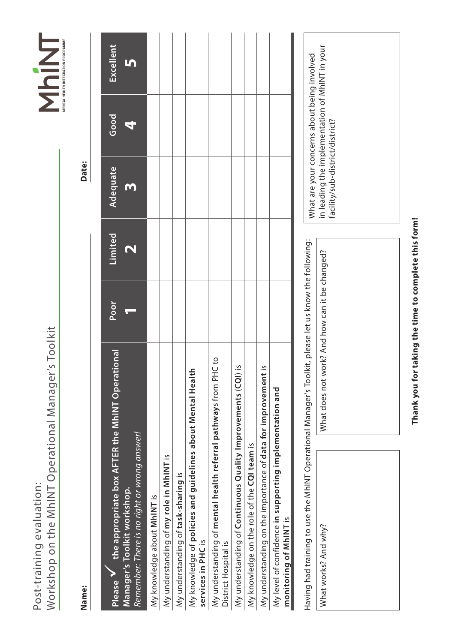Workshop on the MhINT Operational Manager's Toolkit Workshop on the MhINT Operational Manager's Toolkit Post-training evaluation: Post-training evaluation:

<span id="page-22-0"></span>MhíNT

| )ate: |              |
|-------|--------------|
|       | ۱            |
|       |              |
|       |              |
|       |              |
|       |              |
|       |              |
|       |              |
|       |              |
|       |              |
|       |              |
|       |              |
|       |              |
|       |              |
|       |              |
|       |              |
|       |              |
|       |              |
|       |              |
|       |              |
|       |              |
|       |              |
|       |              |
|       |              |
|       |              |
|       |              |
|       |              |
|       |              |
|       |              |
|       |              |
|       |              |
|       |              |
|       |              |
|       |              |
|       |              |
|       |              |
|       |              |
|       |              |
|       |              |
|       |              |
|       |              |
|       |              |
|       |              |
|       | <b>SuueN</b> |
|       |              |

Date:

| the appropriate box AFTER the MhINT Operational<br>Please <sup>V</sup>                  |                                                | Poor                                   | Limited | <b>Adequate</b>                                                                   | Good | Excellent |
|-----------------------------------------------------------------------------------------|------------------------------------------------|----------------------------------------|---------|-----------------------------------------------------------------------------------|------|-----------|
| Remember: There is no right or wrong answer!<br>Manager's Toolkit workshop.             |                                                |                                        |         | M                                                                                 |      |           |
| My knowledge about MhINT is                                                             |                                                |                                        |         |                                                                                   |      |           |
| My understanding of my role in MhINT is                                                 |                                                |                                        |         |                                                                                   |      |           |
| My understanding of task-sharing is                                                     |                                                |                                        |         |                                                                                   |      |           |
| My knowledge of policies and guidelines about Mental Health<br>services in PHC is       |                                                |                                        |         |                                                                                   |      |           |
| My understanding of mental health referral pathways from PHC to<br>District Hospital is |                                                |                                        |         |                                                                                   |      |           |
| My understanding of Continuous Quality Improvements (CQI)                               | $\overline{6}$                                 |                                        |         |                                                                                   |      |           |
| My knowledge on the role of the CQI team is                                             |                                                |                                        |         |                                                                                   |      |           |
| My understanding on the importance of data for improvement                              | $\overline{5}$                                 |                                        |         |                                                                                   |      |           |
| My level of confidence in supporting implementation and<br>monitoring of MhINT is       |                                                |                                        |         |                                                                                   |      |           |
| Having had training to use the MhINT Operational Manager's Tooll                        |                                                | kit, please let us know the following: |         | What are your concerns about being involved                                       |      |           |
| What works? And why?                                                                    | What does not work? And how can it be changed? |                                        |         | in leading the implementation of MhINT in your<br>facility/sub-district/district? |      |           |
|                                                                                         |                                                |                                        |         |                                                                                   |      |           |

Thank you for taking the time to complete this form! **Thank you for taking the time to complete this form!**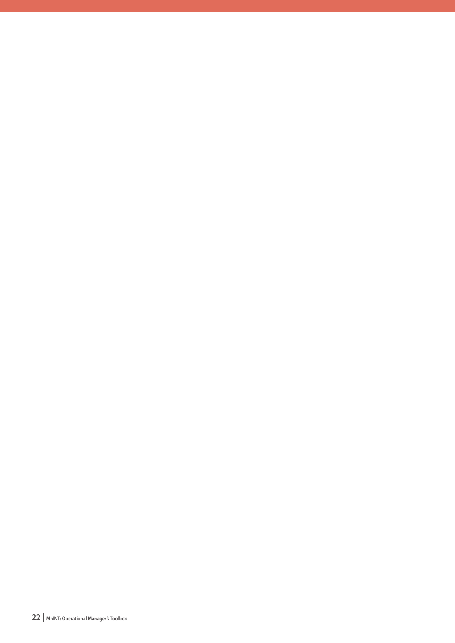## **MhINT: Operational Manager's Toolbox**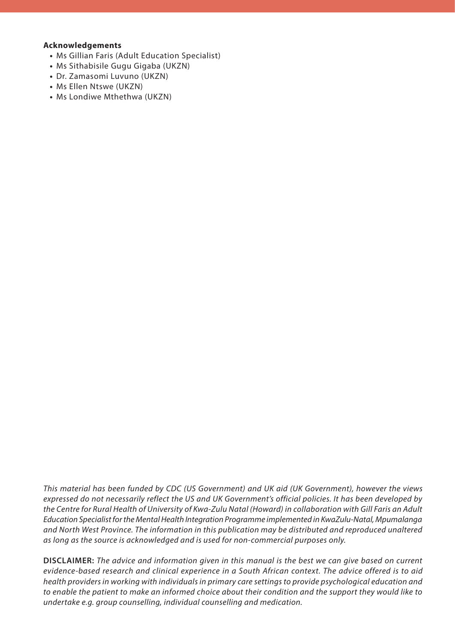#### **Acknowledgements**

- **•** Ms Gillian Faris (Adult Education Specialist)
- **•** Ms Sithabisile Gugu Gigaba (UKZN)
- **•** Dr. Zamasomi Luvuno (UKZN)
- **•** Ms Ellen Ntswe (UKZN)
- **•** Ms Londiwe Mthethwa (UKZN)

*This material has been funded by CDC (US Government) and UK aid (UK Government), however the views expressed do not necessarily reflect the US and UK Government's official policies. It has been developed by the Centre for Rural Health of University of Kwa-Zulu Natal (Howard) in collaboration with Gill Faris an Adult Education Specialist for the Mental Health Integration Programme implemented in KwaZulu-Natal, Mpumalanga and North West Province. The information in this publication may be distributed and reproduced unaltered as long as the source is acknowledged and is used for non-commercial purposes only.*

**DISCLAIMER:** *The advice and information given in this manual is the best we can give based on current evidence-based research and clinical experience in a South African context. The advice offered is to aid health providers in working with individuals in primary care settings to provide psychological education and to enable the patient to make an informed choice about their condition and the support they would like to undertake e.g. group counselling, individual counselling and medication.*